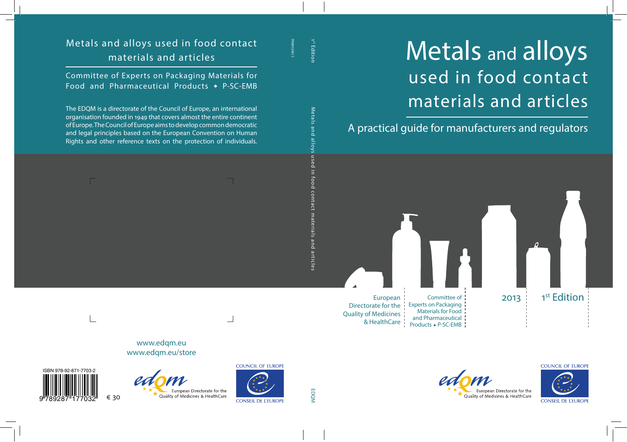## Metals and alloys used in food contact materials and articles

A practical guide for manufacturers and regulators





CONSEIL DE L'ELIROPE

**COUNCIL OF EUROPE**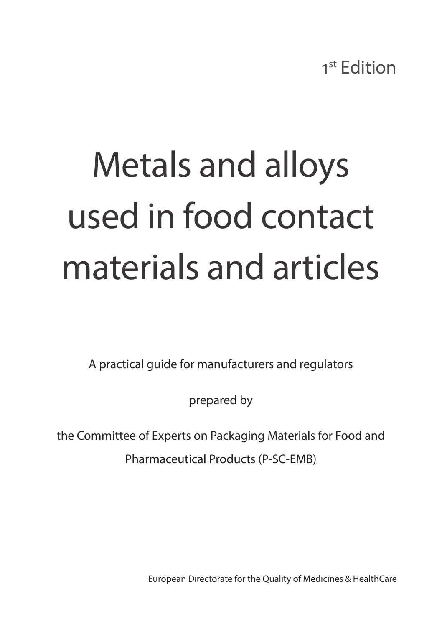## Metals and alloys used in food contact materials and articles

A practical guide for manufacturers and regulators

prepared by

the Committee of Experts on Packaging Materials for Food and

Pharmaceutical Products (P-SC-EMB)

European Directorate for the Quality of Medicines & HealthCare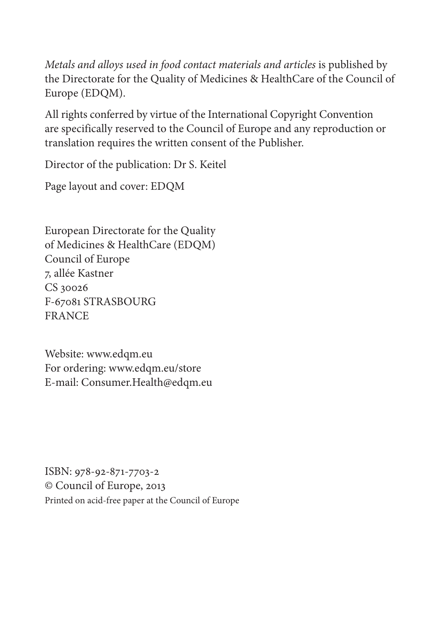*Metals and alloys used in food contact materials and articles is published by* the Directorate for the Quality of Medicines & HealthCare of the Council of Europe (EDQM).

All rights conferred by virtue of the International Copyright Convention are specifically reserved to the Council of Europe and any reproduction or translation requires the written consent of the Publisher.

Director of the publication: Dr S. Keitel

Page layout and cover: EDQM

European Directorate for the Quality of Medicines & HealthCare (EDQM) Council of Europe 7, allée Kastner CS 30026 F-67081 STRASBOURG FRANCE

Website: www.edqm.eu For ordering: www.edqm.eu/store E-mail: Consumer.Health@edqm.eu

ISBN: 978-92-871-7703-2 © Council of Europe, 2013 Printed on acid-free paper at the Council of Europe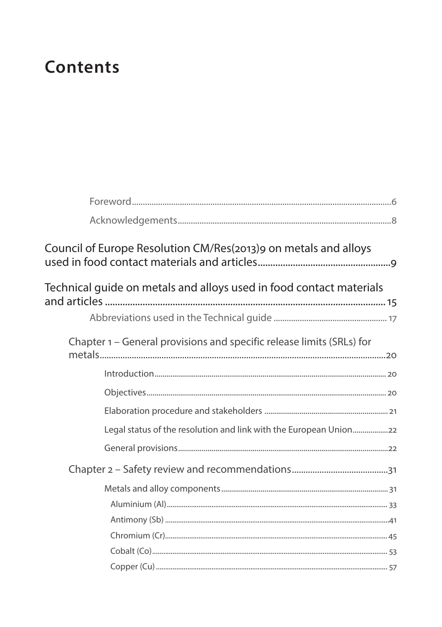## **Contents**

| Council of Europe Resolution CM/Res(2013)9 on metals and alloys       |
|-----------------------------------------------------------------------|
| Technical guide on metals and alloys used in food contact materials   |
|                                                                       |
| Chapter 1 – General provisions and specific release limits (SRLs) for |
|                                                                       |
|                                                                       |
|                                                                       |
| Legal status of the resolution and link with the European Union       |
|                                                                       |
|                                                                       |
|                                                                       |
|                                                                       |
|                                                                       |
|                                                                       |
|                                                                       |
|                                                                       |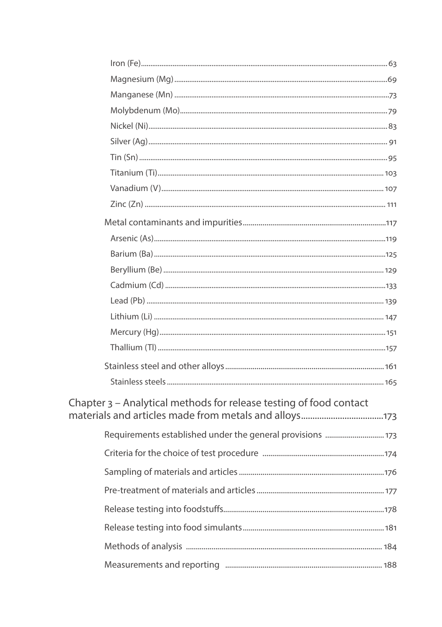| Chapter 3 - Analytical methods for release testing of food contact |  |
|--------------------------------------------------------------------|--|
|                                                                    |  |
| Requirements established under the general provisions  173         |  |
|                                                                    |  |
|                                                                    |  |
|                                                                    |  |
|                                                                    |  |
|                                                                    |  |
|                                                                    |  |
|                                                                    |  |